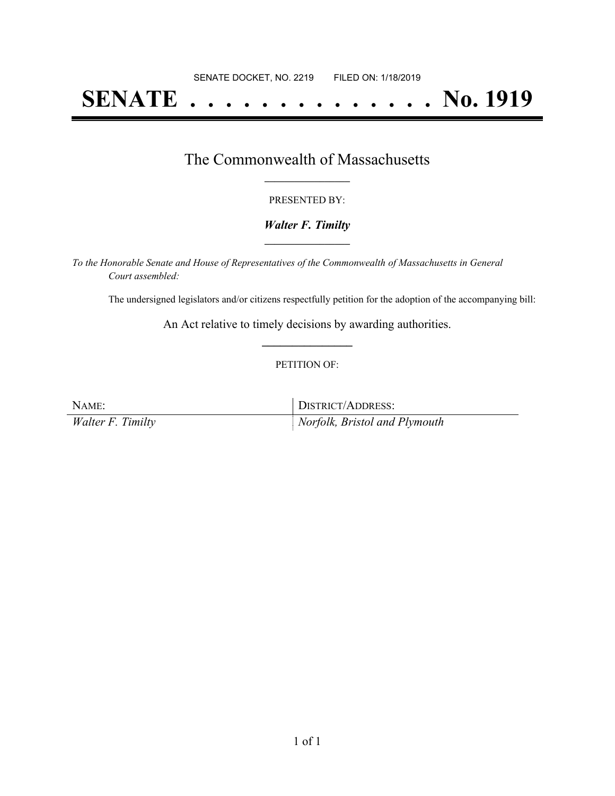# **SENATE . . . . . . . . . . . . . . No. 1919**

## The Commonwealth of Massachusetts **\_\_\_\_\_\_\_\_\_\_\_\_\_\_\_\_\_**

#### PRESENTED BY:

#### *Walter F. Timilty* **\_\_\_\_\_\_\_\_\_\_\_\_\_\_\_\_\_**

*To the Honorable Senate and House of Representatives of the Commonwealth of Massachusetts in General Court assembled:*

The undersigned legislators and/or citizens respectfully petition for the adoption of the accompanying bill:

An Act relative to timely decisions by awarding authorities. **\_\_\_\_\_\_\_\_\_\_\_\_\_\_\_**

#### PETITION OF:

NAME: DISTRICT/ADDRESS: *Walter F. Timilty Norfolk, Bristol and Plymouth*